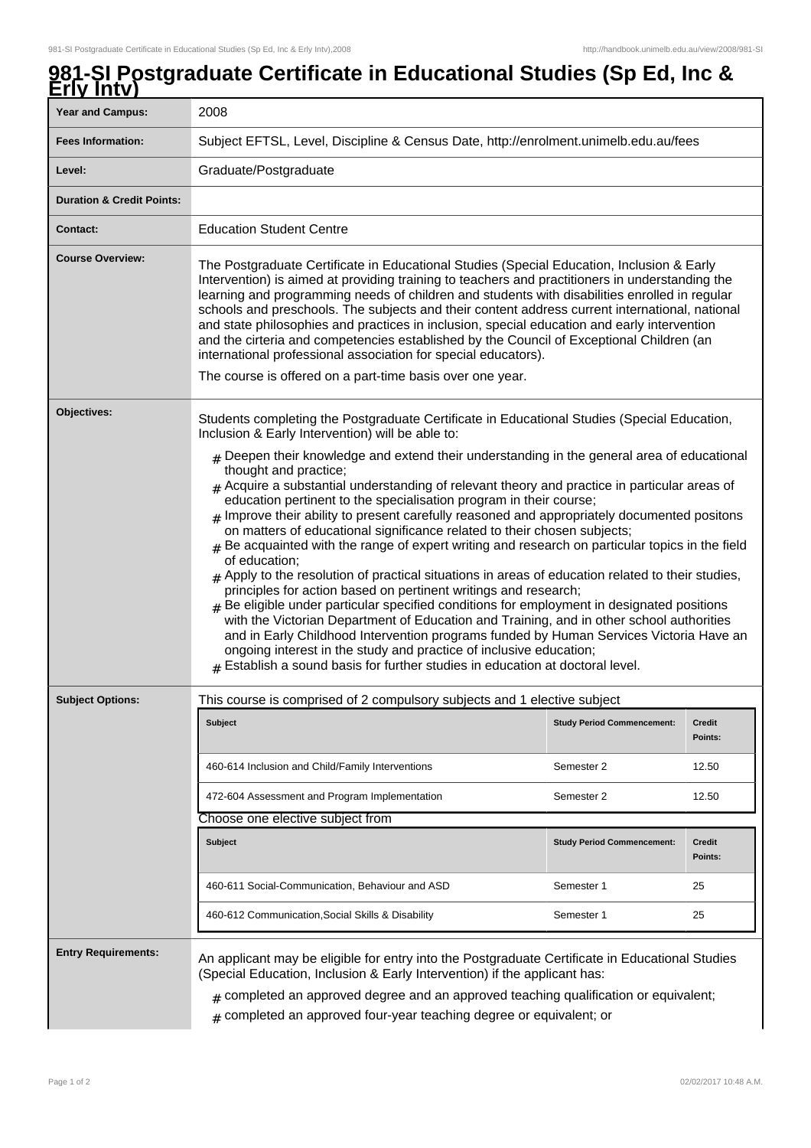## **981-SI Postgraduate Certificate in Educational Studies (Sp Ed, Inc & Erly Intv)**

| LIIV IIILV <i>)</i>                  |                                                                                                                                                                                                                                                                                                                                                                                                                                                                                                                                                                                                                                                                                                                                                                                                                                                                                                                                                                                                                                                                                                                                                                                                                               |                                   |                          |
|--------------------------------------|-------------------------------------------------------------------------------------------------------------------------------------------------------------------------------------------------------------------------------------------------------------------------------------------------------------------------------------------------------------------------------------------------------------------------------------------------------------------------------------------------------------------------------------------------------------------------------------------------------------------------------------------------------------------------------------------------------------------------------------------------------------------------------------------------------------------------------------------------------------------------------------------------------------------------------------------------------------------------------------------------------------------------------------------------------------------------------------------------------------------------------------------------------------------------------------------------------------------------------|-----------------------------------|--------------------------|
| <b>Year and Campus:</b>              | 2008                                                                                                                                                                                                                                                                                                                                                                                                                                                                                                                                                                                                                                                                                                                                                                                                                                                                                                                                                                                                                                                                                                                                                                                                                          |                                   |                          |
| <b>Fees Information:</b>             | Subject EFTSL, Level, Discipline & Census Date, http://enrolment.unimelb.edu.au/fees                                                                                                                                                                                                                                                                                                                                                                                                                                                                                                                                                                                                                                                                                                                                                                                                                                                                                                                                                                                                                                                                                                                                          |                                   |                          |
| Level:                               | Graduate/Postgraduate                                                                                                                                                                                                                                                                                                                                                                                                                                                                                                                                                                                                                                                                                                                                                                                                                                                                                                                                                                                                                                                                                                                                                                                                         |                                   |                          |
| <b>Duration &amp; Credit Points:</b> |                                                                                                                                                                                                                                                                                                                                                                                                                                                                                                                                                                                                                                                                                                                                                                                                                                                                                                                                                                                                                                                                                                                                                                                                                               |                                   |                          |
| <b>Contact:</b>                      | <b>Education Student Centre</b>                                                                                                                                                                                                                                                                                                                                                                                                                                                                                                                                                                                                                                                                                                                                                                                                                                                                                                                                                                                                                                                                                                                                                                                               |                                   |                          |
| <b>Course Overview:</b>              | The Postgraduate Certificate in Educational Studies (Special Education, Inclusion & Early<br>Intervention) is aimed at providing training to teachers and practitioners in understanding the<br>learning and programming needs of children and students with disabilities enrolled in regular<br>schools and preschools. The subjects and their content address current international, national<br>and state philosophies and practices in inclusion, special education and early intervention<br>and the cirteria and competencies established by the Council of Exceptional Children (an<br>international professional association for special educators).<br>The course is offered on a part-time basis over one year.                                                                                                                                                                                                                                                                                                                                                                                                                                                                                                     |                                   |                          |
| Objectives:                          | Students completing the Postgraduate Certificate in Educational Studies (Special Education,<br>Inclusion & Early Intervention) will be able to:                                                                                                                                                                                                                                                                                                                                                                                                                                                                                                                                                                                                                                                                                                                                                                                                                                                                                                                                                                                                                                                                               |                                   |                          |
|                                      | $#$ Deepen their knowledge and extend their understanding in the general area of educational<br>thought and practice;<br>$#$ Acquire a substantial understanding of relevant theory and practice in particular areas of<br>education pertinent to the specialisation program in their course;<br>$_{\#}$ Improve their ability to present carefully reasoned and appropriately documented positons<br>on matters of educational significance related to their chosen subjects;<br>$#$ Be acquainted with the range of expert writing and research on particular topics in the field<br>of education;<br>$#$ Apply to the resolution of practical situations in areas of education related to their studies,<br>principles for action based on pertinent writings and research;<br>$#$ Be eligible under particular specified conditions for employment in designated positions<br>with the Victorian Department of Education and Training, and in other school authorities<br>and in Early Childhood Intervention programs funded by Human Services Victoria Have an<br>ongoing interest in the study and practice of inclusive education;<br>$#$ Establish a sound basis for further studies in education at doctoral level. |                                   |                          |
| <b>Subject Options:</b>              | This course is comprised of 2 compulsory subjects and 1 elective subject                                                                                                                                                                                                                                                                                                                                                                                                                                                                                                                                                                                                                                                                                                                                                                                                                                                                                                                                                                                                                                                                                                                                                      |                                   |                          |
|                                      | <b>Subject</b>                                                                                                                                                                                                                                                                                                                                                                                                                                                                                                                                                                                                                                                                                                                                                                                                                                                                                                                                                                                                                                                                                                                                                                                                                | <b>Study Period Commencement:</b> | <b>Credit</b><br>Points: |
|                                      | 460-614 Inclusion and Child/Family Interventions                                                                                                                                                                                                                                                                                                                                                                                                                                                                                                                                                                                                                                                                                                                                                                                                                                                                                                                                                                                                                                                                                                                                                                              | Semester 2                        | 12.50                    |
|                                      | 472-604 Assessment and Program Implementation                                                                                                                                                                                                                                                                                                                                                                                                                                                                                                                                                                                                                                                                                                                                                                                                                                                                                                                                                                                                                                                                                                                                                                                 | Semester 2                        | 12.50                    |
|                                      | Choose one elective subject from                                                                                                                                                                                                                                                                                                                                                                                                                                                                                                                                                                                                                                                                                                                                                                                                                                                                                                                                                                                                                                                                                                                                                                                              |                                   |                          |
|                                      | <b>Subject</b>                                                                                                                                                                                                                                                                                                                                                                                                                                                                                                                                                                                                                                                                                                                                                                                                                                                                                                                                                                                                                                                                                                                                                                                                                | <b>Study Period Commencement:</b> | <b>Credit</b><br>Points: |
|                                      | 460-611 Social-Communication, Behaviour and ASD                                                                                                                                                                                                                                                                                                                                                                                                                                                                                                                                                                                                                                                                                                                                                                                                                                                                                                                                                                                                                                                                                                                                                                               | Semester 1                        | 25                       |
|                                      | 460-612 Communication, Social Skills & Disability                                                                                                                                                                                                                                                                                                                                                                                                                                                                                                                                                                                                                                                                                                                                                                                                                                                                                                                                                                                                                                                                                                                                                                             | Semester 1                        | 25                       |
| <b>Entry Requirements:</b>           | An applicant may be eligible for entry into the Postgraduate Certificate in Educational Studies<br>(Special Education, Inclusion & Early Intervention) if the applicant has:<br>$_{\text{\#}}$ completed an approved degree and an approved teaching qualification or equivalent;<br>$#$ completed an approved four-year teaching degree or equivalent; or                                                                                                                                                                                                                                                                                                                                                                                                                                                                                                                                                                                                                                                                                                                                                                                                                                                                    |                                   |                          |